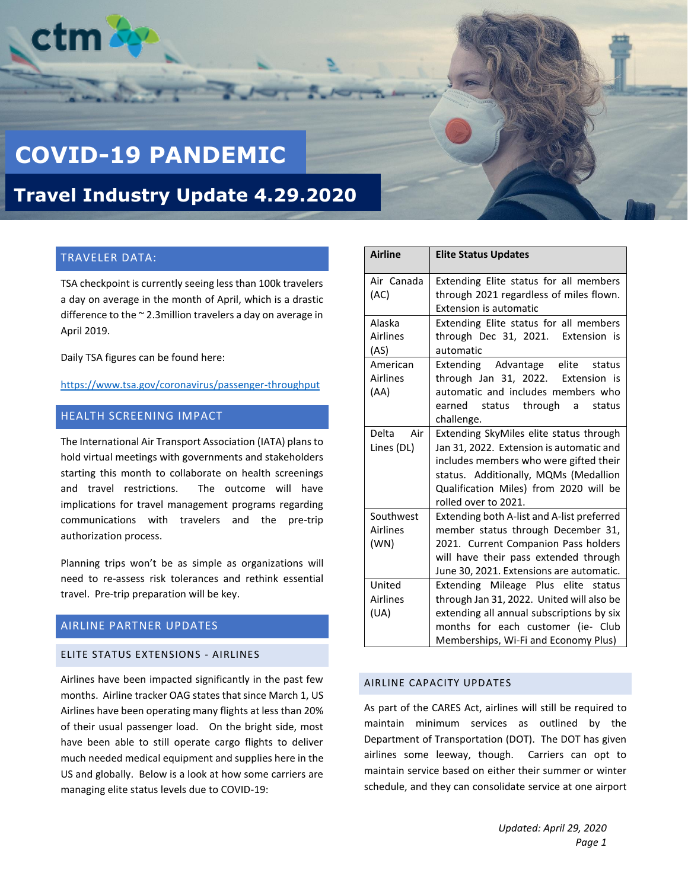

# **COVID-19 PANDEMIC**

**Travel Industry Update 4.29.2020**

## TRAVELER DATA:

TSA checkpoint is currently seeing less than 100k travelers a day on average in the month of April, which is a drastic difference to the ~ 2.3million travelers a day on average in April 2019.

Daily TSA figures can be found here:

<https://www.tsa.gov/coronavirus/passenger-throughput>

## HEALTH SCREENING IMPACT

The International Air Transport Association (IATA) plans to hold virtual meetings with governments and stakeholders starting this month to collaborate on health screenings and travel restrictions. The outcome will have implications for travel management programs regarding communications with travelers and the pre-trip authorization process.

Planning trips won't be as simple as organizations will need to re-assess risk tolerances and rethink essential travel. Pre-trip preparation will be key.

## AIRLINE PARTNER UPDATES

## ELITE STATUS EXTENSIONS - AIRLINES

Airlines have been impacted significantly in the past few months. Airline tracker OAG states that since March 1, US Airlines have been operating many flights at less than 20% of their usual passenger load. On the bright side, most have been able to still operate cargo flights to deliver much needed medical equipment and supplies here in the US and globally. Below is a look at how some carriers are managing elite status levels due to COVID-19:

| <b>Airline</b>                    | <b>Elite Status Updates</b>                                                                                                                                                                                                              |
|-----------------------------------|------------------------------------------------------------------------------------------------------------------------------------------------------------------------------------------------------------------------------------------|
| Air Canada<br>(AC)                | Extending Elite status for all members<br>through 2021 regardless of miles flown.<br><b>Extension is automatic</b>                                                                                                                       |
| Alaska<br>Airlines<br>(AS)        | Extending Elite status for all members<br>through Dec 31, 2021. Extension is<br>automatic                                                                                                                                                |
| American<br>Airlines<br>(AA)      | Extending Advantage elite<br>status<br>through Jan 31, 2022. Extension is<br>automatic and includes members who<br>earned status through<br>status<br>a<br>challenge.                                                                    |
| Delta Air<br>Lines (DL)           | Extending SkyMiles elite status through<br>Jan 31, 2022. Extension is automatic and<br>includes members who were gifted their<br>status. Additionally, MQMs (Medallion<br>Qualification Miles) from 2020 will be<br>rolled over to 2021. |
| Southwest<br>Airlines<br>(WN)     | Extending both A-list and A-list preferred<br>member status through December 31,<br>2021. Current Companion Pass holders<br>will have their pass extended through<br>June 30, 2021. Extensions are automatic.                            |
| United<br><b>Airlines</b><br>(UA) | Extending Mileage Plus elite status<br>through Jan 31, 2022. United will also be<br>extending all annual subscriptions by six<br>months for each customer (ie- Club<br>Memberships, Wi-Fi and Economy Plus)                              |

## AIRLINE CAPACITY UPDATES

As part of the CARES Act, airlines will still be required to maintain minimum services as outlined by the Department of Transportation (DOT). The DOT has given airlines some leeway, though. Carriers can opt to maintain service based on either their summer or winter schedule, and they can consolidate service at one airport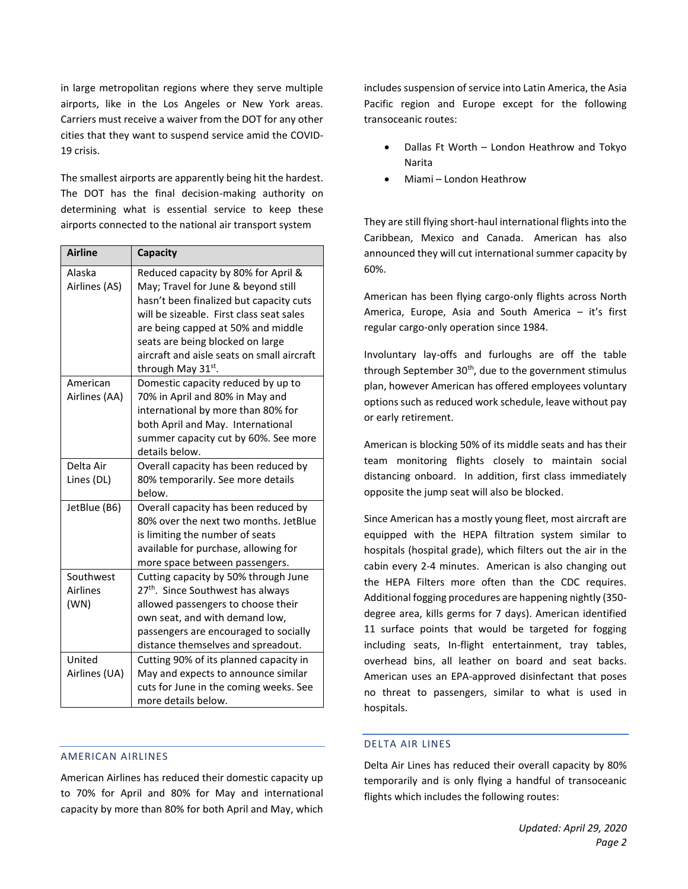in large metropolitan regions where they serve multiple airports, like in the Los Angeles or New York areas. Carriers must receive a waiver from the DOT for any other cities that they want to suspend service amid the COVID-19 crisis.

The smallest airports are apparently being hit the hardest. The DOT has the final decision-making authority on determining what is essential service to keep these airports connected to the national air transport system

| <b>Airline</b>  | Capacity                                      |
|-----------------|-----------------------------------------------|
| Alaska          | Reduced capacity by 80% for April &           |
| Airlines (AS)   | May; Travel for June & beyond still           |
|                 | hasn't been finalized but capacity cuts       |
|                 | will be sizeable. First class seat sales      |
|                 | are being capped at 50% and middle            |
|                 | seats are being blocked on large              |
|                 | aircraft and aisle seats on small aircraft    |
|                 | through May 31st.                             |
| American        | Domestic capacity reduced by up to            |
| Airlines (AA)   | 70% in April and 80% in May and               |
|                 | international by more than 80% for            |
|                 | both April and May. International             |
|                 | summer capacity cut by 60%. See more          |
|                 | details below.                                |
| Delta Air       | Overall capacity has been reduced by          |
| Lines (DL)      | 80% temporarily. See more details             |
|                 | below.                                        |
| JetBlue (B6)    | Overall capacity has been reduced by          |
|                 | 80% over the next two months. JetBlue         |
|                 | is limiting the number of seats               |
|                 | available for purchase, allowing for          |
|                 | more space between passengers.                |
| Southwest       | Cutting capacity by 50% through June          |
| <b>Airlines</b> | 27 <sup>th</sup> . Since Southwest has always |
| (WN)            | allowed passengers to choose their            |
|                 | own seat, and with demand low,                |
|                 | passengers are encouraged to socially         |
|                 | distance themselves and spreadout.            |
| United          | Cutting 90% of its planned capacity in        |
| Airlines (UA)   | May and expects to announce similar           |
|                 | cuts for June in the coming weeks. See        |
|                 | more details below.                           |

#### AMERICAN AIRLINES

American Airlines has reduced their domestic capacity up to 70% for April and 80% for May and international capacity by more than 80% for both April and May, which includes suspension of service into Latin America, the Asia Pacific region and Europe except for the following transoceanic routes:

- Dallas Ft Worth London Heathrow and Tokyo Narita
- Miami London Heathrow

They are still flying short-haul international flights into the Caribbean, Mexico and Canada. American has also announced they will cut international summer capacity by 60%.

American has been flying cargo-only flights across North America, Europe, Asia and South America – it's first regular cargo-only operation since 1984.

Involuntary lay-offs and furloughs are off the table through September  $30<sup>th</sup>$ , due to the government stimulus plan, however American has offered employees voluntary options such as reduced work schedule, leave without pay or early retirement.

American is blocking 50% of its middle seats and has their team monitoring flights closely to maintain social distancing onboard. In addition, first class immediately opposite the jump seat will also be blocked.

Since American has a mostly young fleet, most aircraft are equipped with the HEPA filtration system similar to hospitals (hospital grade), which filters out the air in the cabin every 2-4 minutes. American is also changing out the HEPA Filters more often than the CDC requires. Additional fogging procedures are happening nightly (350 degree area, kills germs for 7 days). American identified 11 surface points that would be targeted for fogging including seats, In-flight entertainment, tray tables, overhead bins, all leather on board and seat backs. American uses an EPA-approved disinfectant that poses no threat to passengers, similar to what is used in hospitals.

#### DELTA AIR LINES

Delta Air Lines has reduced their overall capacity by 80% temporarily and is only flying a handful of transoceanic flights which includes the following routes: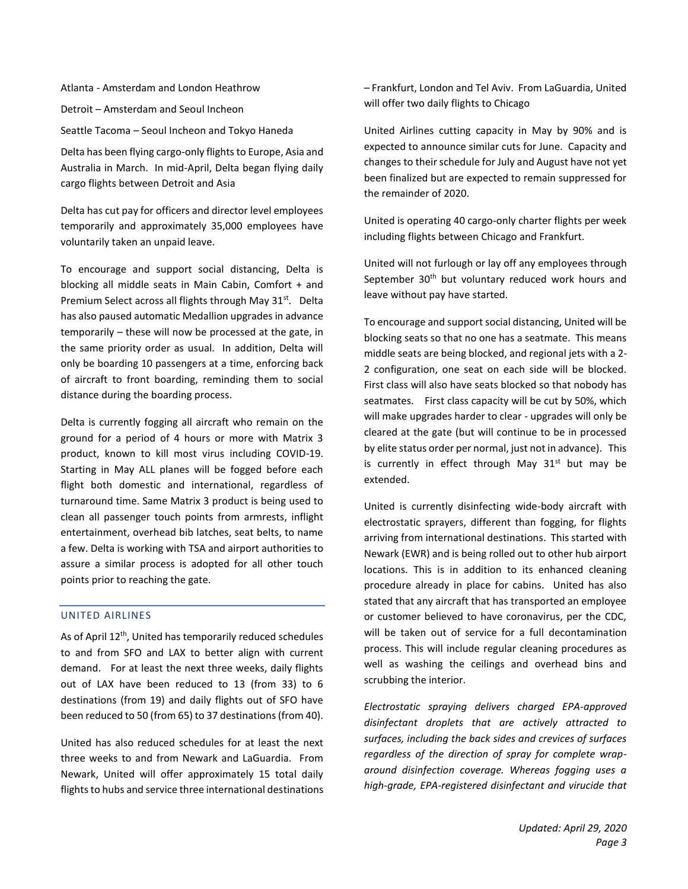Atlanta - Amsterdam and London Heathrow

Detroit – Amsterdam and Seoul Incheon

Seattle Tacoma – Seoul Incheon and Tokyo Haneda

Delta has been flying cargo-only flights to Europe, Asia and Australia in March. In mid-April, Delta began flying daily cargo flights between Detroit and Asia

Delta has cut pay for officers and director level employees temporarily and approximately 35,000 employees have voluntarily taken an unpaid leave.

To encourage and support social distancing, Delta is blocking all middle seats in Main Cabin, Comfort + and Premium Select across all flights through May 31<sup>st</sup>. Delta has also paused automatic Medallion upgrades in advance temporarily – these will now be processed at the gate, in the same priority order as usual. In addition, Delta will only be boarding 10 passengers at a time, enforcing back of aircraft to front boarding, reminding them to social distance during the boarding process.

Delta is currently fogging all aircraft who remain on the ground for a period of 4 hours or more with Matrix 3 product, known to kill most virus including COVID-19. Starting in May ALL planes will be fogged before each flight both domestic and international, regardless of turnaround time. Same Matrix 3 product is being used to clean all passenger touch points from armrests, inflight entertainment, overhead bib latches, seat belts, to name a few. Delta is working with TSA and airport authorities to assure a similar process is adopted for all other touch points prior to reaching the gate.

## UNITED AIRLINES

As of April 12<sup>th</sup>, United has temporarily reduced schedules to and from SFO and LAX to better align with current demand. For at least the next three weeks, daily flights out of LAX have been reduced to 13 (from 33) to 6 destinations (from 19) and daily flights out of SFO have been reduced to 50 (from 65) to 37 destinations (from 40).

United has also reduced schedules for at least the next three weeks to and from Newark and LaGuardia. From Newark, United will offer approximately 15 total daily flights to hubs and service three international destinations – Frankfurt, London and Tel Aviv. From LaGuardia, United will offer two daily flights to Chicago

United Airlines cutting capacity in May by 90% and is expected to announce similar cuts for June. Capacity and changes to their schedule for July and August have not yet been finalized but are expected to remain suppressed for the remainder of 2020.

United is operating 40 cargo-only charter flights per week including flights between Chicago and Frankfurt.

United will not furlough or lay off any employees through September  $30<sup>th</sup>$  but voluntary reduced work hours and leave without pay have started.

To encourage and support social distancing, United will be blocking seats so that no one has a seatmate. This means middle seats are being blocked, and regional jets with a 2- 2 configuration, one seat on each side will be blocked. First class will also have seats blocked so that nobody has seatmates. First class capacity will be cut by 50%, which will make upgrades harder to clear - upgrades will only be cleared at the gate (but will continue to be in processed by elite status order per normal, just not in advance). This is currently in effect through May  $31<sup>st</sup>$  but may be extended.

United is currently disinfecting wide-body aircraft with electrostatic sprayers, different than fogging, for flights arriving from international destinations. This started with Newark (EWR) and is being rolled out to other hub airport locations. This is in addition to its enhanced cleaning procedure already in place for cabins. United has also stated that any aircraft that has transported an employee or customer believed to have coronavirus, per the CDC, will be taken out of service for a full decontamination process. This will include regular cleaning procedures as well as washing the ceilings and overhead bins and scrubbing the interior.

*Electrostatic spraying delivers charged EPA-approved disinfectant droplets that are actively attracted to surfaces, including the back sides and crevices of surfaces regardless of the direction of spray for complete wraparound disinfection coverage. Whereas fogging uses a high-grade, EPA-registered disinfectant and virucide that*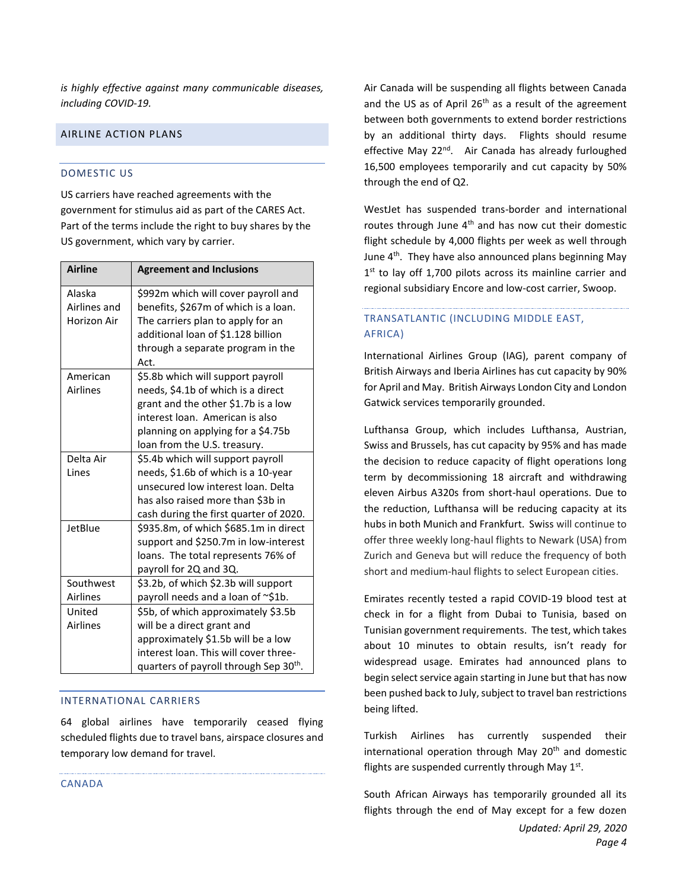*is highly effective against many communicable diseases, including COVID-19.* 

## AIRLINE ACTION PLANS

## DOMESTIC US

US carriers have reached agreements with the government for stimulus aid as part of the CARES Act. Part of the terms include the right to buy shares by the US government, which vary by carrier.

| <b>Airline</b>  | <b>Agreement and Inclusions</b>                    |
|-----------------|----------------------------------------------------|
| Alaska          | \$992m which will cover payroll and                |
| Airlines and    | benefits, \$267m of which is a loan.               |
| Horizon Air     | The carriers plan to apply for an                  |
|                 | additional loan of \$1.128 billion                 |
|                 | through a separate program in the<br>Act.          |
| American        | \$5.8b which will support payroll                  |
| <b>Airlines</b> | needs, \$4.1b of which is a direct                 |
|                 | grant and the other \$1.7b is a low                |
|                 | interest loan. American is also                    |
|                 | planning on applying for a \$4.75b                 |
|                 | loan from the U.S. treasury.                       |
| Delta Air       | \$5.4b which will support payroll                  |
| Lines           | needs, \$1.6b of which is a 10-year                |
|                 | unsecured low interest loan. Delta                 |
|                 | has also raised more than \$3b in                  |
|                 | cash during the first quarter of 2020.             |
| JetBlue         | \$935.8m, of which \$685.1m in direct              |
|                 | support and \$250.7m in low-interest               |
|                 | loans. The total represents 76% of                 |
|                 | payroll for 2Q and 3Q.                             |
| Southwest       | \$3.2b, of which \$2.3b will support               |
| <b>Airlines</b> | payroll needs and a loan of ~\$1b.                 |
| United          | \$5b, of which approximately \$3.5b                |
| <b>Airlines</b> | will be a direct grant and                         |
|                 | approximately \$1.5b will be a low                 |
|                 | interest loan. This will cover three-              |
|                 | quarters of payroll through Sep 30 <sup>th</sup> . |

#### INTERNATIONAL CARRIERS

64 global airlines have temporarily ceased flying scheduled flights due to travel bans, airspace closures and temporary low demand for travel.

CANADA

Air Canada will be suspending all flights between Canada and the US as of April  $26<sup>th</sup>$  as a result of the agreement between both governments to extend border restrictions by an additional thirty days. Flights should resume effective May 22<sup>nd</sup>. Air Canada has already furloughed 16,500 employees temporarily and cut capacity by 50% through the end of Q2.

WestJet has suspended trans-border and international routes through June  $4<sup>th</sup>$  and has now cut their domestic flight schedule by 4,000 flights per week as well through June 4<sup>th</sup>. They have also announced plans beginning May 1<sup>st</sup> to lay off 1,700 pilots across its mainline carrier and regional subsidiary Encore and low-cost carrier, Swoop.

## TRANSATLANTIC (INCLUDING MIDDLE EAST, AFRICA)

International Airlines Group (IAG), parent company of British Airways and Iberia Airlines has cut capacity by 90% for April and May. British Airways London City and London Gatwick services temporarily grounded.

Lufthansa Group, which includes Lufthansa, Austrian, Swiss and Brussels, has cut capacity by 95% and has made the decision to reduce capacity of flight operations long term by decommissioning 18 aircraft and withdrawing eleven Airbus A320s from short-haul operations. Due to the reduction, Lufthansa will be reducing capacity at its hubs in both Munich and Frankfurt. Swiss will continue to offer three weekly long-haul flights to Newark (USA) from Zurich and Geneva but will reduce the frequency of both short and medium-haul flights to select European cities.

Emirates recently tested a rapid COVID-19 blood test at check in for a flight from Dubai to Tunisia, based on Tunisian government requirements. The test, which takes about 10 minutes to obtain results, isn't ready for widespread usage. Emirates had announced plans to begin select service again starting in June but that has now been pushed back to July, subject to travel ban restrictions being lifted.

Turkish Airlines has currently suspended their international operation through May 20<sup>th</sup> and domestic flights are suspended currently through May  $1<sup>st</sup>$ .

South African Airways has temporarily grounded all its flights through the end of May except for a few dozen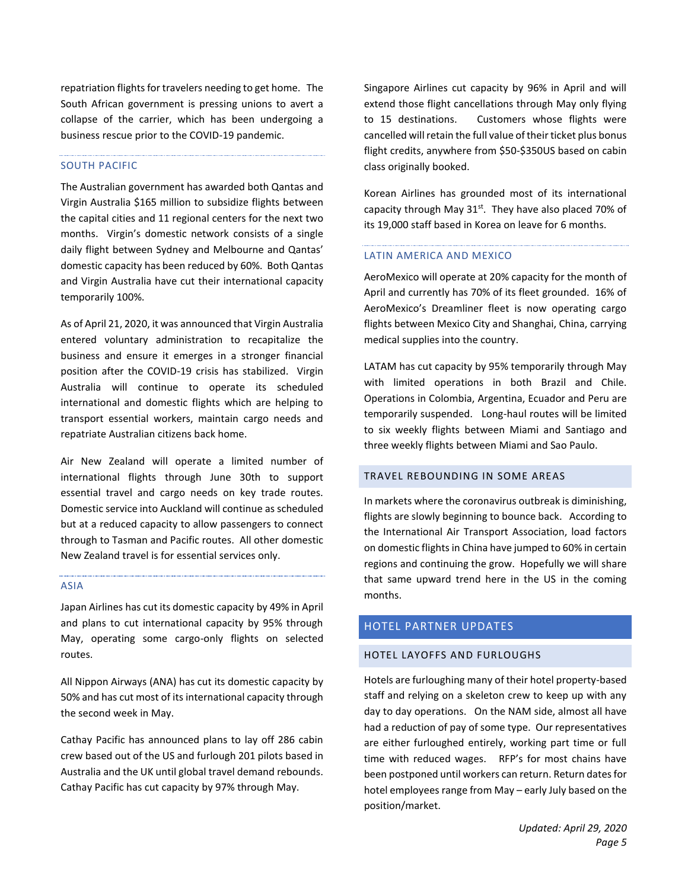repatriation flights for travelers needing to get home. The South African government is pressing unions to avert a collapse of the carrier, which has been undergoing a business rescue prior to the COVID-19 pandemic.

#### SOUTH PACIFIC

The Australian government has awarded both Qantas and Virgin Australia \$165 million to subsidize flights between the capital cities and 11 regional centers for the next two months. Virgin's domestic network consists of a single daily flight between Sydney and Melbourne and Qantas' domestic capacity has been reduced by 60%. Both Qantas and Virgin Australia have cut their international capacity temporarily 100%.

As of April 21, 2020, it was announced that Virgin Australia entered voluntary administration to recapitalize the business and ensure it emerges in a stronger financial position after the COVID-19 crisis has stabilized. Virgin Australia will continue to operate its scheduled international and domestic flights which are helping to transport essential workers, maintain cargo needs and repatriate Australian citizens back home.

Air New Zealand will operate a limited number of international flights through June 30th to support essential travel and cargo needs on key trade routes. Domestic service into Auckland will continue as scheduled but at a reduced capacity to allow passengers to connect through to Tasman and Pacific routes. All other domestic New Zealand travel is for essential services only.

#### ASIA

Japan Airlines has cut its domestic capacity by 49% in April and plans to cut international capacity by 95% through May, operating some cargo-only flights on selected routes.

All Nippon Airways (ANA) has cut its domestic capacity by 50% and has cut most of its international capacity through the second week in May.

Cathay Pacific has announced plans to lay off 286 cabin crew based out of the US and furlough 201 pilots based in Australia and the UK until global travel demand rebounds. Cathay Pacific has cut capacity by 97% through May.

Singapore Airlines cut capacity by 96% in April and will extend those flight cancellations through May only flying to 15 destinations. Customers whose flights were cancelled will retain the full value of their ticket plus bonus flight credits, anywhere from \$50-\$350US based on cabin class originally booked.

Korean Airlines has grounded most of its international capacity through May  $31^{st}$ . They have also placed 70% of its 19,000 staff based in Korea on leave for 6 months.

#### LATIN AMERICA AND MEXICO

AeroMexico will operate at 20% capacity for the month of April and currently has 70% of its fleet grounded. 16% of AeroMexico's Dreamliner fleet is now operating cargo flights between Mexico City and Shanghai, China, carrying medical supplies into the country.

LATAM has cut capacity by 95% temporarily through May with limited operations in both Brazil and Chile. Operations in Colombia, Argentina, Ecuador and Peru are temporarily suspended. Long-haul routes will be limited to six weekly flights between Miami and Santiago and three weekly flights between Miami and Sao Paulo.

#### TRAVEL REBOUNDING IN SOME AREAS

In markets where the coronavirus outbreak is diminishing, flights are slowly beginning to bounce back. According to the International Air Transport Association, load factors on domestic flights in China have jumped to 60% in certain regions and continuing the grow. Hopefully we will share that same upward trend here in the US in the coming months.

## HOTEL PARTNER UPDATES

#### HOTEL LAYOFFS AND FURLOUGHS

Hotels are furloughing many of their hotel property-based staff and relying on a skeleton crew to keep up with any day to day operations. On the NAM side, almost all have had a reduction of pay of some type. Our representatives are either furloughed entirely, working part time or full time with reduced wages. RFP's for most chains have been postponed until workers can return. Return dates for hotel employees range from May – early July based on the position/market.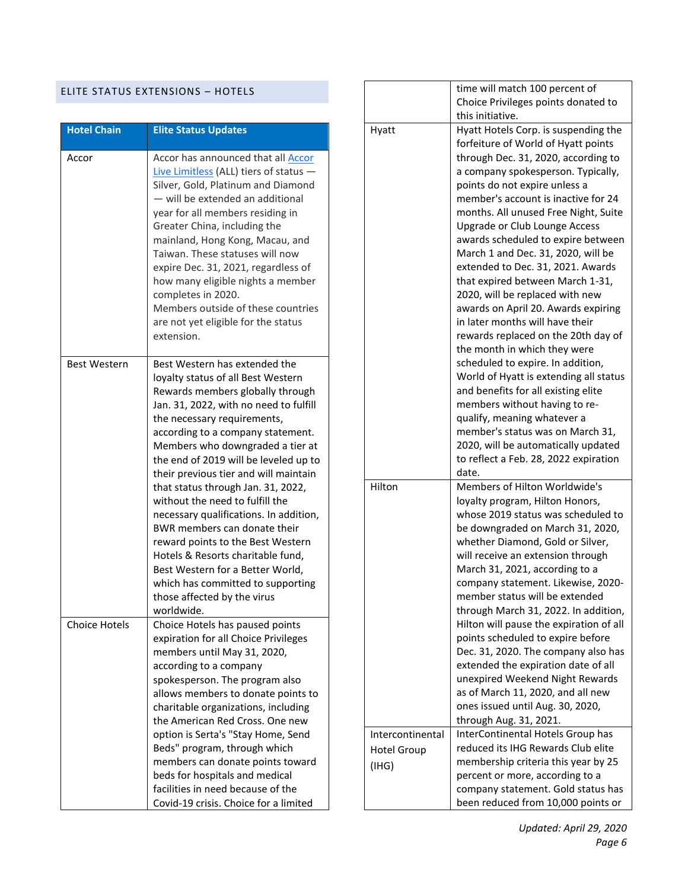## ELITE STATUS EXTENSIONS – HOTELS

| <b>Hotel Chain</b>   | <b>Elite Status Updates</b>                                                                                                                                                                                                                                                                                                                                                                                                                                                                                                                                                                                                                                                      |
|----------------------|----------------------------------------------------------------------------------------------------------------------------------------------------------------------------------------------------------------------------------------------------------------------------------------------------------------------------------------------------------------------------------------------------------------------------------------------------------------------------------------------------------------------------------------------------------------------------------------------------------------------------------------------------------------------------------|
| Accor                | Accor has announced that all Accor<br>Live Limitless (ALL) tiers of status $-$<br>Silver, Gold, Platinum and Diamond<br>- will be extended an additional<br>year for all members residing in<br>Greater China, including the<br>mainland, Hong Kong, Macau, and<br>Taiwan. These statuses will now<br>expire Dec. 31, 2021, regardless of<br>how many eligible nights a member<br>completes in 2020.<br>Members outside of these countries<br>are not yet eligible for the status<br>extension.                                                                                                                                                                                  |
| <b>Best Western</b>  | Best Western has extended the<br>loyalty status of all Best Western<br>Rewards members globally through<br>Jan. 31, 2022, with no need to fulfill<br>the necessary requirements,<br>according to a company statement.<br>Members who downgraded a tier at<br>the end of 2019 will be leveled up to<br>their previous tier and will maintain<br>that status through Jan. 31, 2022,<br>without the need to fulfill the<br>necessary qualifications. In addition,<br>BWR members can donate their<br>reward points to the Best Western<br>Hotels & Resorts charitable fund,<br>Best Western for a Better World,<br>which has committed to supporting<br>those affected by the virus |
| <b>Choice Hotels</b> | worldwide.<br>Choice Hotels has paused points<br>expiration for all Choice Privileges<br>members until May 31, 2020,<br>according to a company<br>spokesperson. The program also<br>allows members to donate points to<br>charitable organizations, including<br>the American Red Cross. One new<br>option is Serta's "Stay Home, Send<br>Beds" program, through which<br>members can donate points toward<br>beds for hospitals and medical                                                                                                                                                                                                                                     |
|                      | facilities in need because of the<br>Covid-19 crisis. Choice for a limited                                                                                                                                                                                                                                                                                                                                                                                                                                                                                                                                                                                                       |

|                  | time will match 100 percent of          |
|------------------|-----------------------------------------|
|                  | Choice Privileges points donated to     |
|                  | this initiative.                        |
| Hyatt            | Hyatt Hotels Corp. is suspending the    |
|                  | forfeiture of World of Hyatt points     |
|                  | through Dec. 31, 2020, according to     |
|                  | a company spokesperson. Typically,      |
|                  | points do not expire unless a           |
|                  | member's account is inactive for 24     |
|                  | months. All unused Free Night, Suite    |
|                  | Upgrade or Club Lounge Access           |
|                  | awards scheduled to expire between      |
|                  | March 1 and Dec. 31, 2020, will be      |
|                  | extended to Dec. 31, 2021. Awards       |
|                  |                                         |
|                  | that expired between March 1-31,        |
|                  | 2020, will be replaced with new         |
|                  | awards on April 20. Awards expiring     |
|                  | in later months will have their         |
|                  | rewards replaced on the 20th day of     |
|                  | the month in which they were            |
|                  | scheduled to expire. In addition,       |
|                  | World of Hyatt is extending all status  |
|                  | and benefits for all existing elite     |
|                  | members without having to re-           |
|                  | qualify, meaning whatever a             |
|                  | member's status was on March 31,        |
|                  | 2020, will be automatically updated     |
|                  | to reflect a Feb. 28, 2022 expiration   |
|                  | date.                                   |
| Hilton           | Members of Hilton Worldwide's           |
|                  | loyalty program, Hilton Honors,         |
|                  | whose 2019 status was scheduled to      |
|                  | be downgraded on March 31, 2020,        |
|                  | whether Diamond, Gold or Silver,        |
|                  | will receive an extension through       |
|                  | March 31, 2021, according to a          |
|                  | company statement. Likewise, 2020-      |
|                  | member status will be extended          |
|                  | through March 31, 2022. In addition,    |
|                  | Hilton will pause the expiration of all |
|                  | points scheduled to expire before       |
|                  | Dec. 31, 2020. The company also has     |
|                  | extended the expiration date of all     |
|                  | unexpired Weekend Night Rewards         |
|                  | as of March 11, 2020, and all new       |
|                  | ones issued until Aug. 30, 2020,        |
|                  | through Aug. 31, 2021.                  |
| Intercontinental | InterContinental Hotels Group has       |
| Hotel Group      | reduced its IHG Rewards Club elite      |
| (IHG)            | membership criteria this year by 25     |
|                  | percent or more, according to a         |
|                  | company statement. Gold status has      |
|                  | been reduced from 10,000 points or      |
|                  |                                         |